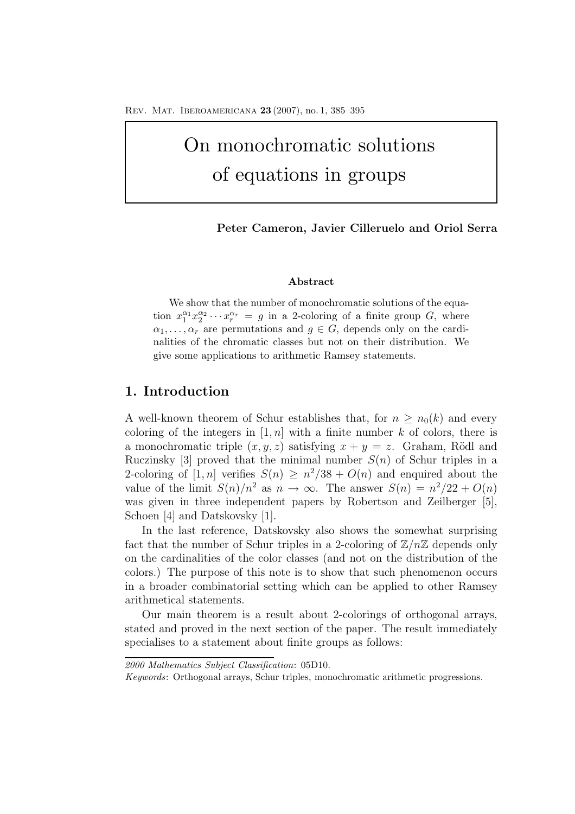# On monochromatic solutions of equations in groups

**Peter Cameron, Javier Cilleruelo and Oriol Serra**

#### **Abstract**

We show that the number of monochromatic solutions of the equation  $x_1^{\alpha_1} x_2^{\alpha_2} \cdots x_r^{\alpha_r} = g$  in a 2-coloring of a finite group G, where  $\alpha_1,\ldots,\alpha_r$  are permutations and  $g \in G$ , depends only on the cardinalities of the chromatic classes but not on their distribution. We give some applications to arithmetic Ramsey statements.

## **1. Introduction**

A well-known theorem of Schur establishes that, for  $n \geq n_0(k)$  and every coloring of the integers in  $[1, n]$  with a finite number k of colors, there is a monochromatic triple  $(x, y, z)$  satisfying  $x + y = z$ . Graham, Rödl and Ruczinsky [3] proved that the minimal number  $S(n)$  of Schur triples in a 2-coloring of [1, n] verifies  $S(n) \geq n^2/38 + O(n)$  and enquired about the value of the limit  $S(n)/n^2$  as  $n \to \infty$ . The answer  $S(n) = n^2/22 + O(n)$ was given in three independent papers by Robertson and Zeilberger [5], Schoen [4] and Datskovsky [1].

In the last reference, Datskovsky also shows the somewhat surprising fact that the number of Schur triples in a 2-coloring of  $\mathbb{Z}/n\mathbb{Z}$  depends only on the cardinalities of the color classes (and not on the distribution of the colors.) The purpose of this note is to show that such phenomenon occurs in a broader combinatorial setting which can be applied to other Ramsey arithmetical statements.

Our main theorem is a result about 2-colorings of orthogonal arrays, stated and proved in the next section of the paper. The result immediately specialises to a statement about finite groups as follows:

*<sup>2000</sup> Mathematics Subject Classification*: 05D10.

*Keywords*: Orthogonal arrays, Schur triples, monochromatic arithmetic progressions.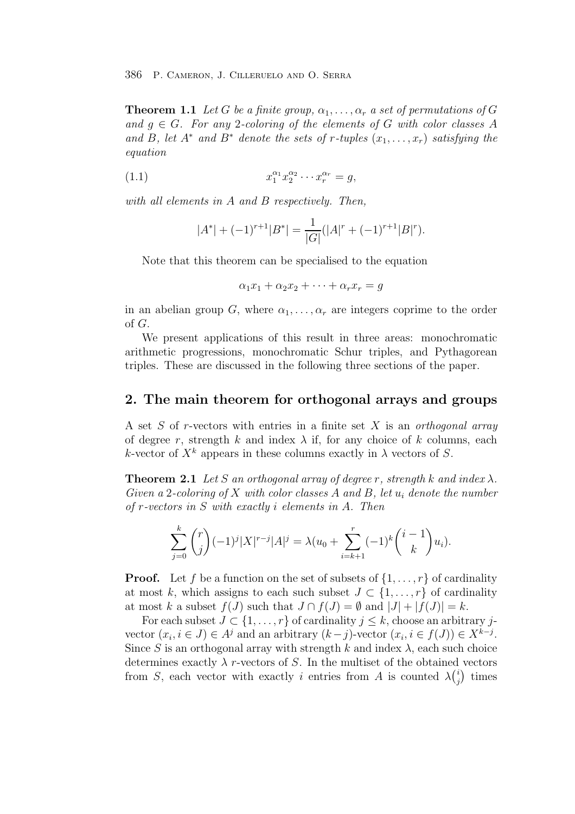**Theorem 1.1** Let G be a finite group,  $\alpha_1, \ldots, \alpha_r$  a set of permutations of G and  $q \in G$ . For any 2-coloring of the elements of G with color classes A and B, let  $A^*$  and  $B^*$  denote the sets of r-tuples  $(x_1, \ldots, x_r)$  satisfying the equation

(1.1) 
$$
x_1^{\alpha_1} x_2^{\alpha_2} \cdots x_r^{\alpha_r} = g,
$$

with all elements in A and B respectively. Then,

$$
|A^*| + (-1)^{r+1}|B^*| = \frac{1}{|G|}(|A|^r + (-1)^{r+1}|B|^r).
$$

Note that this theorem can be specialised to the equation

$$
\alpha_1 x_1 + \alpha_2 x_2 + \dots + \alpha_r x_r = g
$$

in an abelian group G, where  $\alpha_1, \ldots, \alpha_r$  are integers coprime to the order of G.

We present applications of this result in three areas: monochromatic arithmetic progressions, monochromatic Schur triples, and Pythagorean triples. These are discussed in the following three sections of the paper.

### **2. The main theorem for orthogonal arrays and groups**

A set  $S$  of r-vectors with entries in a finite set  $X$  is an orthogonal array of degree r, strength k and index  $\lambda$  if, for any choice of k columns, each k-vector of  $X^k$  appears in these columns exactly in  $\lambda$  vectors of S.

**Theorem 2.1** Let S an orthogonal array of degree r, strength k and index  $\lambda$ . Given a 2-coloring of X with color classes A and B, let  $u_i$  denote the number of r-vectors in S with exactly i elements in A. Then

$$
\sum_{j=0}^{k} {r \choose j} (-1)^j |X|^{r-j} |A|^j = \lambda (u_0 + \sum_{i=k+1}^{r} (-1)^k {i-1 \choose k} u_i).
$$

**Proof.** Let f be a function on the set of subsets of  $\{1,\ldots,r\}$  of cardinality at most k, which assigns to each such subset  $J \subset \{1,\ldots,r\}$  of cardinality at most k a subset  $f(J)$  such that  $J \cap f(J) = \emptyset$  and  $|J| + |f(J)| = k$ .

For each subset  $J \subset \{1,\ldots,r\}$  of cardinality  $j \leq k$ , choose an arbitrary jvector  $(x_i, i \in J) \in A^j$  and an arbitrary  $(k-j)$ -vector  $(x_i, i \in f(J)) \in X^{k-j}$ . Since S is an orthogonal array with strength k and index  $\lambda$ , each such choice determines exactly  $\lambda$  r-vectors of S. In the multiset of the obtained vectors from S, each vector with exactly i entries from A is counted  $\lambda^{(i)}_j$  times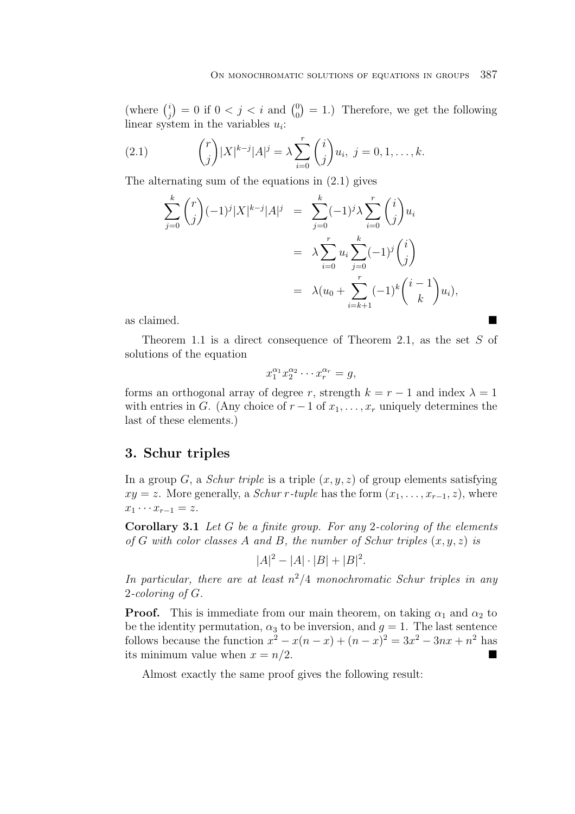(where  $\binom{i}{j} = 0$  if  $0 < j < i$  and  $\binom{0}{0} = 1$ .) Therefore, we get the following linear system in the variables  $u_i$ :

(2.1) 
$$
{r \choose j} |X|^{k-j} |A|^j = \lambda \sum_{i=0}^r {i \choose j} u_i, \ j = 0, 1, ..., k.
$$

The alternating sum of the equations in (2.1) gives

$$
\sum_{j=0}^{k} {r \choose j} (-1)^{j} |X|^{k-j} |A|^{j} = \sum_{j=0}^{k} (-1)^{j} \lambda \sum_{i=0}^{r} {i \choose j} u_{i}
$$

$$
= \lambda \sum_{i=0}^{r} u_{i} \sum_{j=0}^{k} (-1)^{j} {i \choose j}
$$

$$
= \lambda (u_{0} + \sum_{i=k+1}^{r} (-1)^{k} {i-1 \choose k} u_{i}),
$$

as claimed.

Theorem 1.1 is a direct consequence of Theorem 2.1, as the set S of solutions of the equation

$$
x_1^{\alpha_1} x_2^{\alpha_2} \cdots x_r^{\alpha_r} = g,
$$

forms an orthogonal array of degree r, strength  $k = r - 1$  and index  $\lambda = 1$ with entries in G. (Any choice of  $r-1$  of  $x_1, \ldots, x_r$  uniquely determines the last of these elements.)

#### **3. Schur triples**

In a group  $G$ , a *Schur triple* is a triple  $(x, y, z)$  of group elements satisfying  $xy = z$ . More generally, a *Schur r-tuple* has the form  $(x_1, \ldots, x_{r-1}, z)$ , where  $x_1 \cdots x_{r-1} = z.$ 

**Corollary 3.1** Let G be a finite group. For any 2-coloring of the elements of G with color classes A and B, the number of Schur triples  $(x, y, z)$  is

$$
|A|^2 - |A| \cdot |B| + |B|^2.
$$

In particular, there are at least  $n^2/4$  monochromatic Schur triples in any 2-coloring of G.

**Proof.** This is immediate from our main theorem, on taking  $\alpha_1$  and  $\alpha_2$  to be the identity permutation,  $\alpha_3$  to be inversion, and  $g = 1$ . The last sentence follows because the function  $x^2 - x(n - x) + (n - x)^2 = 3x^2 - 3nx + n^2$  has its minimum value when  $x = n/2$ .

Almost exactly the same proof gives the following result: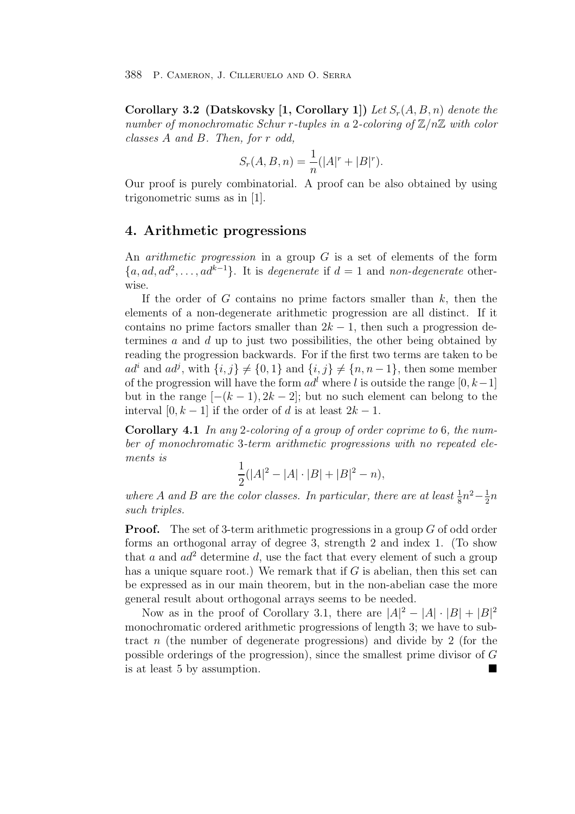**Corollary 3.2 (Datskovsky [1, Corollary 1])** Let  $S_r(A, B, n)$  denote the number of monochromatic Schur r-tuples in a 2-coloring of  $\mathbb{Z}/n\mathbb{Z}$  with color classes A and B. Then, for r odd,

$$
S_r(A, B, n) = \frac{1}{n}(|A|^r + |B|^r).
$$

Our proof is purely combinatorial. A proof can be also obtained by using trigonometric sums as in [1].

#### **4. Arithmetic progressions**

An *arithmetic progression* in a group  $G$  is a set of elements of the form  ${a, ad, ad^2, \ldots, ad^{k-1}}$ . It is degenerate if  $d = 1$  and non-degenerate otherwise.

If the order of G contains no prime factors smaller than  $k$ , then the elements of a non-degenerate arithmetic progression are all distinct. If it contains no prime factors smaller than  $2k - 1$ , then such a progression determines a and d up to just two possibilities, the other being obtained by reading the progression backwards. For if the first two terms are taken to be  $ad^i$  and  $ad^j$ , with  $\{i, j\} \neq \{0, 1\}$  and  $\{i, j\} \neq \{n, n - 1\}$ , then some member of the progression will have the form  $ad^l$  where l is outside the range  $[0, k-1]$ but in the range  $[-(k-1), 2k-2]$ ; but no such element can belong to the interval  $[0, k-1]$  if the order of d is at least  $2k-1$ .

**Corollary 4.1** In any 2-coloring of a group of order coprime to 6, the number of monochromatic 3-term arithmetic progressions with no repeated elements is

$$
\frac{1}{2}(|A|^2 - |A| \cdot |B| + |B|^2 - n),
$$

where A and B are the color classes. In particular, there are at least  $\frac{1}{8}n^2 - \frac{1}{2}n$ such triples.

**Proof.** The set of 3-term arithmetic progressions in a group G of odd order forms an orthogonal array of degree 3, strength 2 and index 1. (To show that a and  $ad^2$  determine d, use the fact that every element of such a group has a unique square root.) We remark that if  $G$  is abelian, then this set can be expressed as in our main theorem, but in the non-abelian case the more general result about orthogonal arrays seems to be needed.

Now as in the proof of Corollary 3.1, there are  $|A|^2 - |A| \cdot |B| + |B|^2$ monochromatic ordered arithmetic progressions of length 3; we have to subtract n (the number of degenerate progressions) and divide by 2 (for the possible orderings of the progression), since the smallest prime divisor of G is at least 5 by assumption.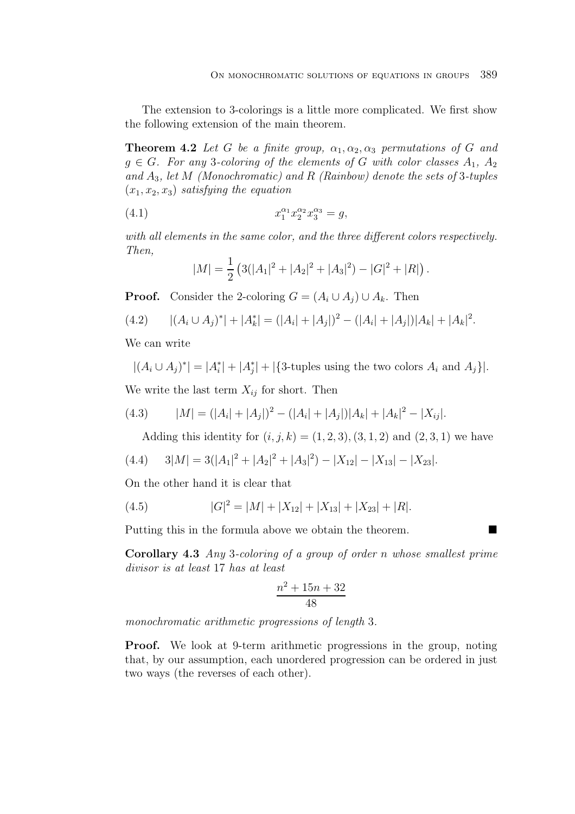The extension to 3-colorings is a little more complicated. We first show the following extension of the main theorem.

**Theorem 4.2** Let G be a finite group,  $\alpha_1, \alpha_2, \alpha_3$  permutations of G and  $g \in G$ . For any 3-coloring of the elements of G with color classes  $A_1, A_2$ and  $A_3$ , let M (Monochromatic) and R (Rainbow) denote the sets of 3-tuples  $(x_1, x_2, x_3)$  satisfying the equation

(4.1) 
$$
x_1^{\alpha_1} x_2^{\alpha_2} x_3^{\alpha_3} = g,
$$

with all elements in the same color, and the three different colors respectively. Then,

$$
|M| = \frac{1}{2} \left( 3(|A_1|^2 + |A_2|^2 + |A_3|^2) - |G|^2 + |R| \right).
$$

**Proof.** Consider the 2-coloring  $G = (A_i \cup A_j) \cup A_k$ . Then

$$
(4.2) \qquad |(A_i \cup A_j)^*| + |A_k^*| = (|A_i| + |A_j|)^2 - (|A_i| + |A_j|)|A_k| + |A_k|^2.
$$

We can write

 $|(A_i \cup A_j)^*| = |A_i^*| + |A_j^*| + |\{3\text{-tuples using the two colors } A_i \text{ and } A_j\}|.$ We write the last term  $X_{ij}$  for short. Then

(4.3) 
$$
|M| = (|A_i| + |A_j|)^2 - (|A_i| + |A_j|)|A_k| + |A_k|^2 - |X_{ij}|.
$$

Adding this identity for  $(i, j, k) = (1, 2, 3), (3, 1, 2)$  and  $(2, 3, 1)$  we have

$$
(4.4) \qquad 3|M| = 3(|A_1|^2 + |A_2|^2 + |A_3|^2) - |X_{12}| - |X_{13}| - |X_{23}|.
$$

On the other hand it is clear that

(4.5) 
$$
|G|^2 = |M| + |X_{12}| + |X_{13}| + |X_{23}| + |R|.
$$

Putting this in the formula above we obtain the theorem.

**Corollary 4.3** Any 3-coloring of a group of order n whose smallest prime divisor is at least 17 has at least

$$
\frac{n^2+15n+32}{48}
$$

monochromatic arithmetic progressions of length 3.

**Proof.** We look at 9-term arithmetic progressions in the group, noting that, by our assumption, each unordered progression can be ordered in just two ways (the reverses of each other).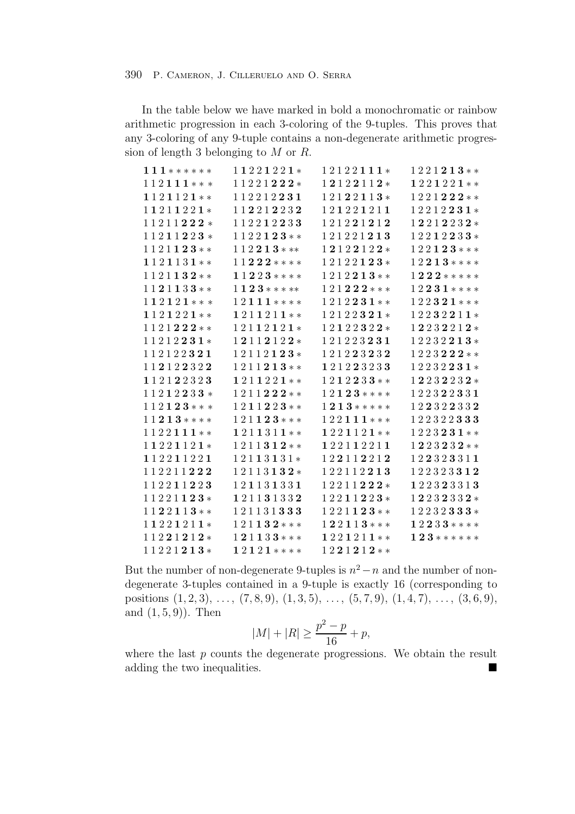In the table below we have marked in bold a monochromatic or rainbow arithmetic progression in each 3-coloring of the 9-tuples. This proves that any 3-coloring of any 9-tuple contains a non-degenerate arithmetic progression of length 3 belonging to M or R.

| $111******$ | 11221221*               | 12122111*                 | $1221213**$                 |
|-------------|-------------------------|---------------------------|-----------------------------|
| $112111***$ | 11221222*               | 12122112*                 | 1221221**                   |
| 1121121**   | 112212231               | $12122113*$               | $1221222**$                 |
| 11211221*   | 112212232               | 121221211                 | $12212231*$                 |
| 11211222*   | 112212233               | 121221212                 | $12212232*$                 |
| $11211223*$ | $1122123**$             | 121221213                 | $1\,2\,2\,1\,2\,2\,3\,3\,*$ |
| $1121123**$ | $112213***$             | 12122122*                 | $122123***$                 |
| $1121131**$ | $11222$ ****            | $12122123*$               | $12213***$                  |
| $1121132**$ | $11223$ ****            | $1212213**$               | $1\,2\,2\,2\,***$ ****      |
| $1121133**$ | $1123$ *****            | $1\,2\,1\,2\,2\,2\,***$   | $1\,2\,2\,3\,1$ * * * *     |
| $112121***$ | $1\,2\,1\,1\,1$ * * * * | $1\,2\,1\,2\,2\,3\,1$ * * | $1\,2\,2\,3\,2\,1$ * * *    |
| 1121221**   | 1211211**               | $12122321*$               | $12232211*$                 |
| $1121222**$ | 12112121*               | 12122322*                 | 12232212*                   |
| $11212231*$ | 12112122*               | 121223231                 | $12232213*$                 |
| 112122321   | $12112123*$             | 121223232                 | $1223223$ **                |
| 112122322   | $1211213**$             | 121223233                 | $12232231*$                 |
| 112122323   | 1211221**               | $1212233**$               | $12232232*$                 |
| 11212233*   | 1211222**               | $12123***$                | 122322331                   |
| $112123***$ | $1211223**$             | $1\,2\,1\,3$ *****        | 122322332                   |
| $11213***$  | $121123***$             | 122111***                 | 122322333                   |
| $1122111**$ | 1211311**               | 1221121**                 | $1223231**$                 |
| 11221121*   | $1211312**$             | 122112211                 | $1223232**$                 |
| 112211221   | 12113131*               | 122112212                 | 122323311                   |
| 112211222   | $12113132*$             | 122112213                 | 122323312                   |
| 112211223   | 121131331               | 12211222*                 | 122323313                   |
| 11221123*   | 121131332               | $12211223*$               | $12232332*$                 |
| $1122113**$ | 121131333               | $1\,2\,2\,1\,1\,2\,3$ **  | $1\,2\,2\,3\,2\,3\,3\,3\,*$ |
| 11221211*   | $121132***$             | $122113***$               | $12233$ ****                |
| 11221212*   | $121133***$             | 1221211**                 | $1\,2\,3\,******$           |
| 11221213*   | $12121***$              | $1221212**$               |                             |

But the number of non-degenerate 9-tuples is  $n^2 - n$  and the number of nondegenerate 3-tuples contained in a 9-tuple is exactly 16 (corresponding to positions  $(1, 2, 3), \ldots, (7, 8, 9), (1, 3, 5), \ldots, (5, 7, 9), (1, 4, 7), \ldots, (3, 6, 9),$ and  $(1, 5, 9)$ . Then

$$
|M| + |R| \ge \frac{p^2 - p}{16} + p,
$$

where the last  $p$  counts the degenerate progressions. We obtain the result adding the two inequalities.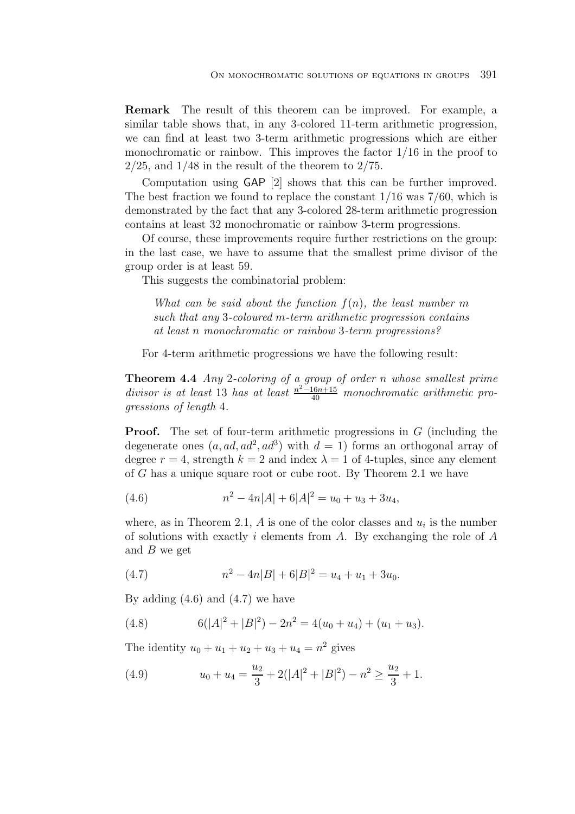**Remark** The result of this theorem can be improved. For example, a similar table shows that, in any 3-colored 11-term arithmetic progression, we can find at least two 3-term arithmetic progressions which are either monochromatic or rainbow. This improves the factor  $1/16$  in the proof to  $2/25$ , and  $1/48$  in the result of the theorem to  $2/75$ .

Computation using GAP [2] shows that this can be further improved. The best fraction we found to replace the constant 1/16 was 7/60, which is demonstrated by the fact that any 3-colored 28-term arithmetic progression contains at least 32 monochromatic or rainbow 3-term progressions.

Of course, these improvements require further restrictions on the group: in the last case, we have to assume that the smallest prime divisor of the group order is at least 59.

This suggests the combinatorial problem:

What can be said about the function  $f(n)$ , the least number m such that any 3-coloured m-term arithmetic progression contains at least n monochromatic or rainbow 3-term progressions?

For 4-term arithmetic progressions we have the following result:

**Theorem 4.4** Any 2-coloring of a group of order n whose smallest prime divisor is at least 13 has at least  $\frac{n^2-16n+15}{40}$  monochromatic arithmetic progressions of length 4.

**Proof.** The set of four-term arithmetic progressions in G (including the degenerate ones  $(a, ad, ad^2, ad^3)$  with  $d = 1$ ) forms an orthogonal array of degree  $r = 4$ , strength  $k = 2$  and index  $\lambda = 1$  of 4-tuples, since any element of G has a unique square root or cube root. By Theorem 2.1 we have

(4.6) 
$$
n^2 - 4n|A| + 6|A|^2 = u_0 + u_3 + 3u_4,
$$

where, as in Theorem 2.1, A is one of the color classes and  $u_i$  is the number of solutions with exactly i elements from A. By exchanging the role of  $A$ and  $B$  we get

(4.7) 
$$
n^2 - 4n|B| + 6|B|^2 = u_4 + u_1 + 3u_0.
$$

By adding  $(4.6)$  and  $(4.7)$  we have

(4.8) 
$$
6(|A|^2 + |B|^2) - 2n^2 = 4(u_0 + u_4) + (u_1 + u_3).
$$

The identity  $u_0 + u_1 + u_2 + u_3 + u_4 = n^2$  gives

(4.9) 
$$
u_0 + u_4 = \frac{u_2}{3} + 2(|A|^2 + |B|^2) - n^2 \ge \frac{u_2}{3} + 1.
$$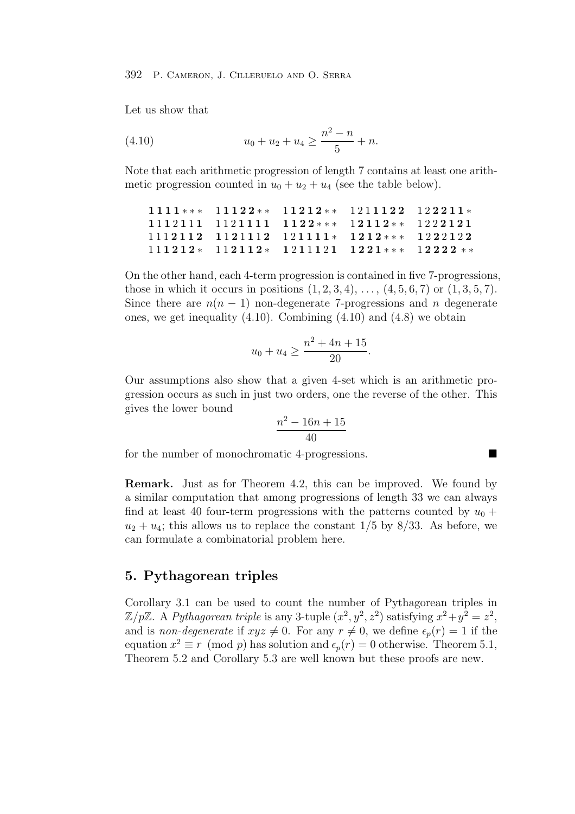Let us show that

(4.10) 
$$
u_0 + u_2 + u_4 \ge \frac{n^2 - n}{5} + n.
$$

Note that each arithmetic progression of length 7 contains at least one arithmetic progression counted in  $u_0 + u_2 + u_4$  (see the table below).

$$
\begin{array}{cccccccc} 11111*** & 11122** & 11212** & 12111122 & 122211* \\ 1112111 & 1121111 & 1122*** & 12112** & 1222121 \\ 1112112 & 1121112 & 121111* & 1212*** & 1222122 \\ 111212* & 112112* & 1211121 & 1221*** & 12222** \end{array}
$$

On the other hand, each 4-term progression is contained in five 7-progressions, those in which it occurs in positions  $(1, 2, 3, 4), \ldots, (4, 5, 6, 7)$  or  $(1, 3, 5, 7)$ . Since there are  $n(n-1)$  non-degenerate 7-progressions and n degenerate ones, we get inequality  $(4.10)$ . Combining  $(4.10)$  and  $(4.8)$  we obtain

$$
u_0 + u_4 \ge \frac{n^2 + 4n + 15}{20}.
$$

Our assumptions also show that a given 4-set which is an arithmetic progression occurs as such in just two orders, one the reverse of the other. This gives the lower bound

$$
\frac{n^2-16n+15}{40}
$$

for the number of monochromatic 4-progressions.

**Remark.** Just as for Theorem 4.2, this can be improved. We found by a similar computation that among progressions of length 33 we can always find at least 40 four-term progressions with the patterns counted by  $u_0 +$  $u_2 + u_4$ ; this allows us to replace the constant  $1/5$  by 8/33. As before, we can formulate a combinatorial problem here.

## **5. Pythagorean triples**

Corollary 3.1 can be used to count the number of Pythagorean triples in  $\mathbb{Z}/p\mathbb{Z}$ . A Pythagorean triple is any 3-tuple  $(x^2, y^2, z^2)$  satisfying  $x^2+y^2=z^2$ , and is non-degenerate if  $xyz \neq 0$ . For any  $r \neq 0$ , we define  $\epsilon_p(r) = 1$  if the equation  $x^2 \equiv r \pmod{p}$  has solution and  $\epsilon_p(r) = 0$  otherwise. Theorem 5.1, Theorem 5.2 and Corollary 5.3 are well known but these proofs are new.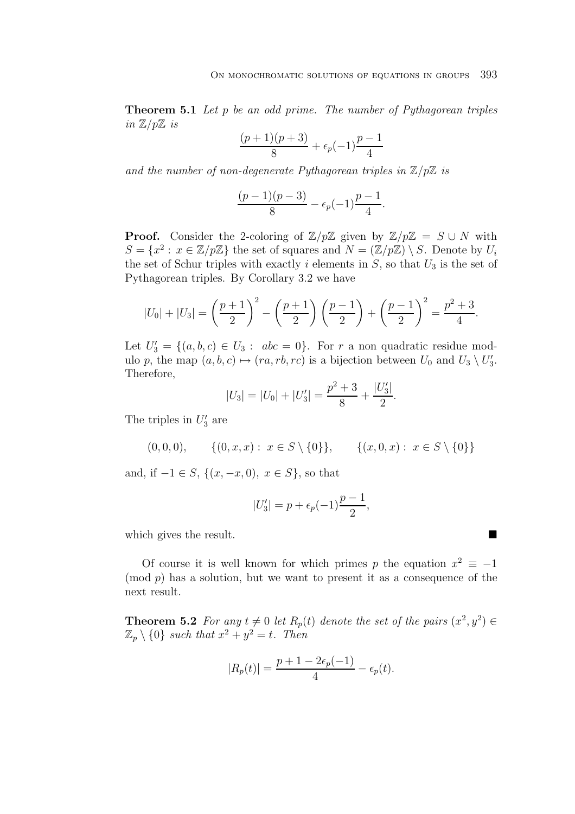**Theorem 5.1** Let p be an odd prime. The number of Pythagorean triples in  $\mathbb{Z}/p\mathbb{Z}$  is

$$
\frac{(p+1)(p+3)}{8} + \epsilon_p(-1)\frac{p-1}{4}
$$

and the number of non-degenerate Pythagorean triples in  $\mathbb{Z}/p\mathbb{Z}$  is

$$
\frac{(p-1)(p-3)}{8} - \epsilon_p(-1)\frac{p-1}{4}.
$$

**Proof.** Consider the 2-coloring of  $\mathbb{Z}/p\mathbb{Z}$  given by  $\mathbb{Z}/p\mathbb{Z} = S \cup N$  with  $S = \{x^2 : x \in \mathbb{Z}/p\mathbb{Z}\}\$  the set of squares and  $N = (\mathbb{Z}/p\mathbb{Z}) \setminus S$ . Denote by  $U_i$ the set of Schur triples with exactly i elements in  $S$ , so that  $U_3$  is the set of Pythagorean triples. By Corollary 3.2 we have

$$
|U_0| + |U_3| = \left(\frac{p+1}{2}\right)^2 - \left(\frac{p+1}{2}\right)\left(\frac{p-1}{2}\right) + \left(\frac{p-1}{2}\right)^2 = \frac{p^2+3}{4}.
$$

Let  $U_3' = \{(a, b, c) \in U_3 : abc = 0\}$ . For r a non quadratic residue modulo p, the map  $(a, b, c) \mapsto (ra, rb, rc)$  is a bijection between  $U_0$  and  $U_3 \setminus U'_3$ . Therefore,

$$
|U_3| = |U_0| + |U'_3| = \frac{p^2 + 3}{8} + \frac{|U'_3|}{2}.
$$

The triples in  $U_3'$  are

$$
(0,0,0), \{ (0,x,x) : x \in S \setminus \{0\} \}, \{ (x,0,x) : x \in S \setminus \{0\} \}
$$

and, if  $-1 \in S$ ,  $\{(x, -x, 0), x \in S\}$ , so that

$$
|U_3'| = p + \epsilon_p(-1)\frac{p-1}{2},
$$

which gives the result.

Of course it is well known for which primes p the equation  $x^2 \equiv -1$  $p$  has a solution, but we want to present it as a consequence of the next result.

**Theorem 5.2** For any  $t \neq 0$  let  $R_p(t)$  denote the set of the pairs  $(x^2, y^2) \in$  $\mathbb{Z}_p \setminus \{0\}$  such that  $x^2 + y^2 = t$ . Then

$$
|R_p(t)| = \frac{p+1-2\epsilon_p(-1)}{4} - \epsilon_p(t).
$$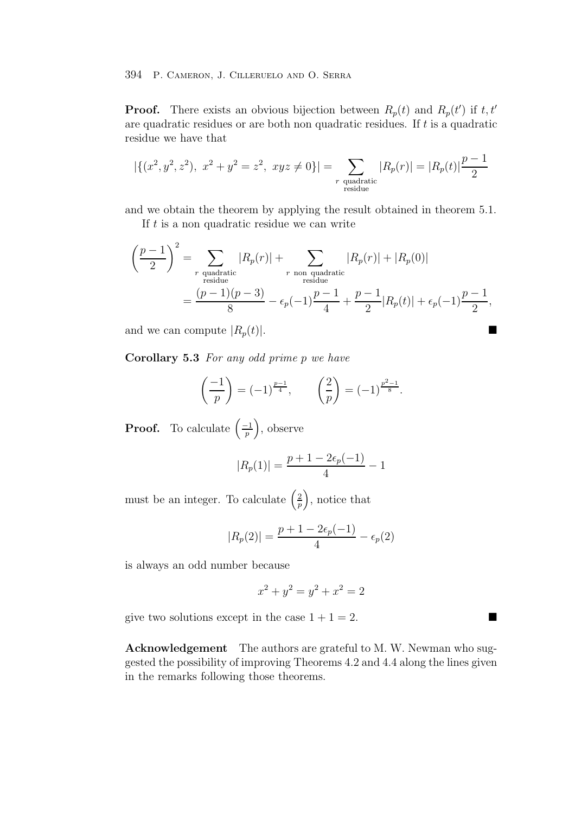**Proof.** There exists an obvious bijection between  $R_p(t)$  and  $R_p(t')$  if  $t, t'$ are quadratic residues or are both non quadratic residues. If t is a quadratic residue we have that

$$
|\{(x^2, y^2, z^2), x^2 + y^2 = z^2, xyz \neq 0\}| = \sum_{\substack{r \text{ quadratic} \\ \text{residue}}} |R_p(r)| = |R_p(t)| \frac{p-1}{2}
$$

and we obtain the theorem by applying the result obtained in theorem 5.1.

If  $t$  is a non quadratic residue we can write

$$
\left(\frac{p-1}{2}\right)^2 = \sum_{\substack{r \text{ quadratic} \\ \text{residue}}} |R_p(r)| + \sum_{\substack{r \text{ non quadratic} \\ \text{residue}}} |R_p(r)| + |R_p(0)|
$$

$$
= \frac{(p-1)(p-3)}{8} - \epsilon_p(-1)\frac{p-1}{4} + \frac{p-1}{2}|R_p(t)| + \epsilon_p(-1)\frac{p-1}{2},
$$

and we can compute  $|R_p(t)|$ .

**Corollary 5.3** For any odd prime p we have

$$
\left(\frac{-1}{p}\right) = (-1)^{\frac{p-1}{4}}, \qquad \left(\frac{2}{p}\right) = (-1)^{\frac{p^2-1}{8}}.
$$

**Proof.** To calculate  $\left(\frac{-1}{p}\right)$ , observe

$$
|R_p(1)| = \frac{p+1-2\epsilon_p(-1)}{4} - 1
$$

must be an integer. To calculate  $\left(\frac{2}{n}\right)$  $\left(\frac{2}{p}\right)$ , notice that

$$
|R_p(2)| = \frac{p+1-2\epsilon_p(-1)}{4} - \epsilon_p(2)
$$

is always an odd number because

$$
x^2 + y^2 = y^2 + x^2 = 2
$$

give two solutions except in the case  $1 + 1 = 2$ .

**Acknowledgement** The authors are grateful to M. W. Newman who suggested the possibility of improving Theorems 4.2 and 4.4 along the lines given in the remarks following those theorems.